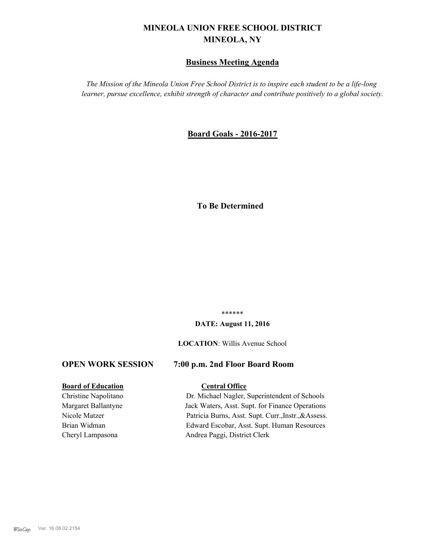# **MINEOLA UNION FREE SCHOOL DISTRICT MINEOLA, NY**

# **Business Meeting Agenda**

*The Mission of the Mineola Union Free School District is to inspire each student to be a life-long learner, pursue excellence, exhibit strength of character and contribute positively to a global society.*

# **Board Goals - 2016-2017**

# **To Be Determined**

\*\*\*\*\*\*

#### **DATE: August 11, 2016**

**LOCATION**: Willis Avenue School

#### **OPEN WORK SESSION 7:00 p.m. 2nd Floor Board Room**

# **Board of Education Central Office**

Christine Napolitano Dr. Michael Nagler, Superintendent of Schools Margaret Ballantyne Jack Waters, Asst. Supt. for Finance Operations Nicole Matzer Patricia Burns, Asst. Supt. Curr.,Instr.,&Assess. Brian Widman Edward Escobar, Asst. Supt. Human Resources Cheryl Lampasona Andrea Paggi, District Clerk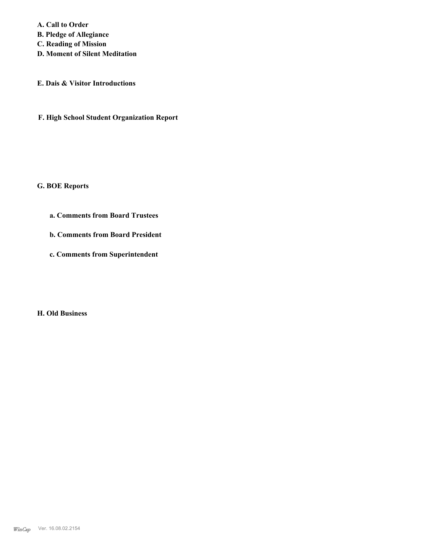**A. Call to Order B. Pledge of Allegiance C. Reading of Mission D. Moment of Silent Meditation**

**E. Dais & Visitor Introductions**

**F. High School Student Organization Report**

**G. BOE Reports**

**a. Comments from Board Trustees**

**b. Comments from Board President**

**c. Comments from Superintendent**

**H. Old Business**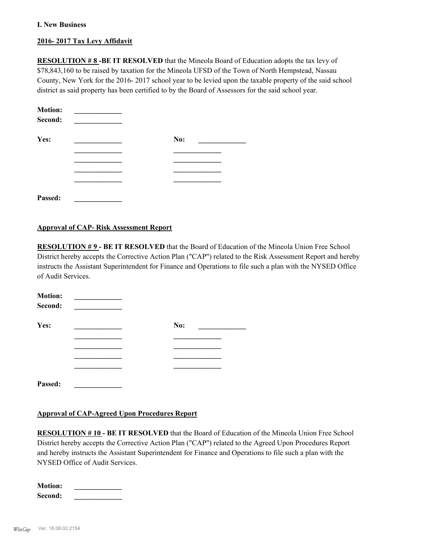#### **I. New Business**

## **2016- 2017 Tax Levy Affidavit**

**RESOLUTION # 8 -BE IT RESOLVED** that the Mineola Board of Education adopts the tax levy of \$78,843,160 to be raised by taxation for the Mineola UFSD of the Town of North Hempstead, Nassau County, New York for the 2016- 2017 school year to be levied upon the taxable property of the said school district as said property has been certified to by the Board of Assessors for the said school year.

| <b>Motion:</b><br>Second: |     |
|---------------------------|-----|
| Yes:                      | No: |
|                           |     |
|                           |     |
|                           |     |
|                           |     |
| Passed:                   |     |

#### **Approval of CAP- Risk Assessment Report**

**RESOLUTION # 9 - BE IT RESOLVED** that the Board of Education of the Mineola Union Free School District hereby accepts the Corrective Action Plan ("CAP") related to the Risk Assessment Report and hereby instructs the Assistant Superintendent for Finance and Operations to file such a plan with the NYSED Office of Audit Services.

| <b>Motion:</b><br>Second: |     |
|---------------------------|-----|
| Yes:                      | No: |
|                           |     |
|                           |     |
|                           |     |
|                           |     |
| Passed:                   |     |

## **Approval of CAP-Agreed Upon Procedures Report**

**RESOLUTION # 10 - BE IT RESOLVED** that the Board of Education of the Mineola Union Free School District hereby accepts the Corrective Action Plan ("CAP") related to the Agreed Upon Procedures Report and hereby instructs the Assistant Superintendent for Finance and Operations to file such a plan with the NYSED Office of Audit Services.

| <b>Motion:</b> |  |
|----------------|--|
| Second:        |  |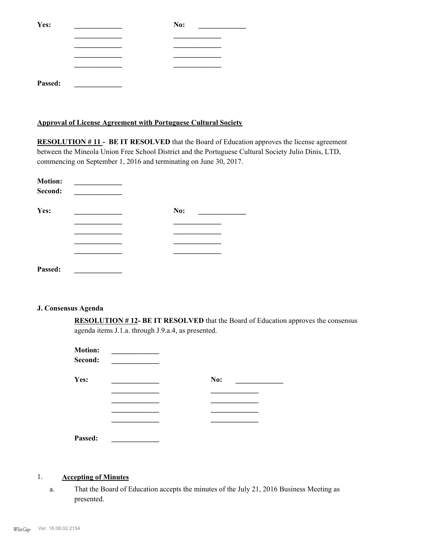| Yes:    | No: |
|---------|-----|
|         |     |
|         |     |
|         |     |
|         |     |
| Passed: |     |

#### **Approval of License Agreement with Portuguese Cultural Society**

**RESOLUTION #11 - BE IT RESOLVED** that the Board of Education approves the license agreement between the Mineola Union Free School District and the Portuguese Cultural Society Julio Dinis, LTD, commencing on September 1, 2016 and terminating on June 30, 2017.

| <b>Motion:</b><br>Second: |     |  |
|---------------------------|-----|--|
| Yes:                      | No: |  |
|                           |     |  |
|                           |     |  |
|                           |     |  |
| Passed:                   |     |  |

#### **J. Consensus Agenda**

**RESOLUTION # 12- BE IT RESOLVED** that the Board of Education approves the consensus agenda items J.1.a. through J.9.a.4, as presented.

| <b>Motion:</b><br>Second: |     |
|---------------------------|-----|
| Yes:                      | No: |
|                           |     |
|                           |     |
|                           |     |
|                           |     |
| Passed:                   |     |

#### 1. **Accepting of Minutes**

That the Board of Education accepts the minutes of the July 21, 2016 Business Meeting as presented. a.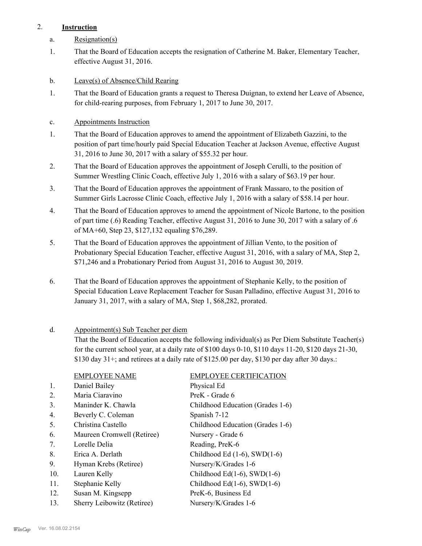# 2. **Instruction**

- a. Resignation(s)
- That the Board of Education accepts the resignation of Catherine M. Baker, Elementary Teacher, effective August 31, 2016. 1.
- b. Leave(s) of Absence/Child Rearing
- That the Board of Education grants a request to Theresa Duignan, to extend her Leave of Absence, for child-rearing purposes, from February 1, 2017 to June 30, 2017. 1.
- c. Appointments Instruction
- That the Board of Education approves to amend the appointment of Elizabeth Gazzini, to the position of part time/hourly paid Special Education Teacher at Jackson Avenue, effective August 31, 2016 to June 30, 2017 with a salary of \$55.32 per hour. 1.
- That the Board of Education approves the appointment of Joseph Cerulli, to the position of Summer Wrestling Clinic Coach, effective July 1, 2016 with a salary of \$63.19 per hour. 2.
- That the Board of Education approves the appointment of Frank Massaro, to the position of Summer Girls Lacrosse Clinic Coach, effective July 1, 2016 with a salary of \$58.14 per hour. 3.
- That the Board of Education approves to amend the appointment of Nicole Bartone, to the position of part time (.6) Reading Teacher, effective August 31, 2016 to June 30, 2017 with a salary of .6 of MA+60, Step 23, \$127,132 equaling \$76,289. 4.
- That the Board of Education approves the appointment of Jillian Vento, to the position of Probationary Special Education Teacher, effective August 31, 2016, with a salary of MA, Step 2, \$71,246 and a Probationary Period from August 31, 2016 to August 30, 2019. 5.
- That the Board of Education approves the appointment of Stephanie Kelly, to the position of Special Education Leave Replacement Teacher for Susan Palladino, effective August 31, 2016 to January 31, 2017, with a salary of MA, Step 1, \$68,282, prorated. 6.

#### Appointment(s) Sub Teacher per diem d.

That the Board of Education accepts the following individual(s) as Per Diem Substitute Teacher(s) for the current school year, at a daily rate of \$100 days 0-10, \$110 days 11-20, \$120 days 21-30, \$130 day 31+; and retirees at a daily rate of \$125.00 per day, \$130 per day after 30 days.:

|                | <b>EMPLOYEE NAME</b>       | <b>EMPLOYEE CERTIFICATION</b>      |
|----------------|----------------------------|------------------------------------|
| $\mathbf{1}$ . | Daniel Bailey              | Physical Ed                        |
| 2.             | Maria Ciaravino            | PreK - Grade 6                     |
| 3.             | Maninder K. Chawla         | Childhood Education (Grades 1-6)   |
| 4.             | Beverly C. Coleman         | Spanish 7-12                       |
| 5.             | Christina Castello         | Childhood Education (Grades 1-6)   |
| 6.             | Maureen Cromwell (Retiree) | Nursery - Grade 6                  |
| 7.             | Lorelle Delia              | Reading, PreK-6                    |
| 8.             | Erica A. Derlath           | Childhood Ed $(1-6)$ , SWD $(1-6)$ |
| 9.             | Hyman Krebs (Retiree)      | Nursery/K/Grades 1-6               |
| 10.            | Lauren Kelly               | Childhood Ed $(1-6)$ , SWD $(1-6)$ |
| 11.            | Stephanie Kelly            | Childhood Ed $(1-6)$ , SWD $(1-6)$ |
| 12.            | Susan M. Kingsepp          | PreK-6, Business Ed                |
| 13.            | Sherry Leibowitz (Retiree) | Nursery/K/Grades 1-6               |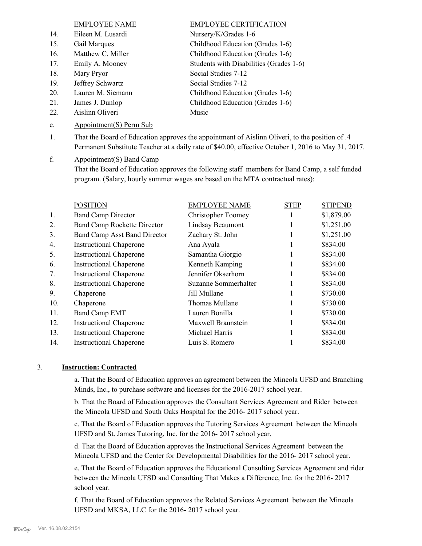# EMPLOYEE NAME EMPLOYEE CERTIFICATION

- 14. Eileen M. Lusardi Nursery/K/Grades 1-6 15. Gail Marques Childhood Education (Grades 1-6) 16. Matthew C. Miller Childhood Education (Grades 1-6) 17. Emily A. Mooney Students with Disabilities (Grades 1-6) 18. Mary Pryor Social Studies 7-12
- 
- 
- 
- 22. Aislinn Oliveri Music
- e. Appointment(S) Perm Sub

19. Jeffrey Schwartz Social Studies 7-12 20. Lauren M. Siemann Childhood Education (Grades 1-6) 21. James J. Dunlop Childhood Education (Grades 1-6)

- That the Board of Education approves the appointment of Aislinn Oliveri, to the position of .4 Permanent Substitute Teacher at a daily rate of \$40.00, effective October 1, 2016 to May 31, 2017. 1.
- Appointment(S) Band Camp f.

That the Board of Education approves the following staff members for Band Camp, a self funded program. (Salary, hourly summer wages are based on the MTA contractual rates):

|     | <b>POSITION</b>                     | <b>EMPLOYEE NAME</b> | <b>STEP</b> | <b>STIPEND</b> |
|-----|-------------------------------------|----------------------|-------------|----------------|
| 1.  | <b>Band Camp Director</b>           | Christopher Toomey   |             | \$1,879.00     |
| 2.  | <b>Band Camp Rockette Director</b>  | Lindsay Beaumont     |             | \$1,251.00     |
| 3.  | <b>Band Camp Asst Band Director</b> | Zachary St. John     |             | \$1,251.00     |
| 4.  | <b>Instructional Chaperone</b>      | Ana Ayala            |             | \$834.00       |
| 5.  | <b>Instructional Chaperone</b>      | Samantha Giorgio     |             | \$834.00       |
| 6.  | <b>Instructional Chaperone</b>      | Kenneth Kamping      |             | \$834.00       |
| 7.  | <b>Instructional Chaperone</b>      | Jennifer Okserhorn   |             | \$834.00       |
| 8.  | <b>Instructional Chaperone</b>      | Suzanne Sommerhalter |             | \$834.00       |
| 9.  | Chaperone                           | Jill Mullane         |             | \$730.00       |
| 10. | Chaperone                           | Thomas Mullane       |             | \$730.00       |
| 11. | <b>Band Camp EMT</b>                | Lauren Bonilla       |             | \$730.00       |
| 12. | <b>Instructional Chaperone</b>      | Maxwell Braunstein   |             | \$834.00       |
| 13. | <b>Instructional Chaperone</b>      | Michael Harris       |             | \$834.00       |
| 14. | <b>Instructional Chaperone</b>      | Luis S. Romero       |             | \$834.00       |

# 3. **Instruction: Contracted**

a. That the Board of Education approves an agreement between the Mineola UFSD and Branching Minds, Inc., to purchase software and licenses for the 2016-2017 school year.

b. That the Board of Education approves the Consultant Services Agreement and Rider between the Mineola UFSD and South Oaks Hospital for the 2016- 2017 school year.

c. That the Board of Education approves the Tutoring Services Agreement between the Mineola UFSD and St. James Tutoring, Inc. for the 2016- 2017 school year.

d. That the Board of Education approves the Instructional Services Agreement between the Mineola UFSD and the Center for Developmental Disabilities for the 2016- 2017 school year.

e. That the Board of Education approves the Educational Consulting Services Agreement and rider between the Mineola UFSD and Consulting That Makes a Difference, Inc. for the 2016- 2017 school year.

f. That the Board of Education approves the Related Services Agreement between the Mineola UFSD and MKSA, LLC for the 2016- 2017 school year.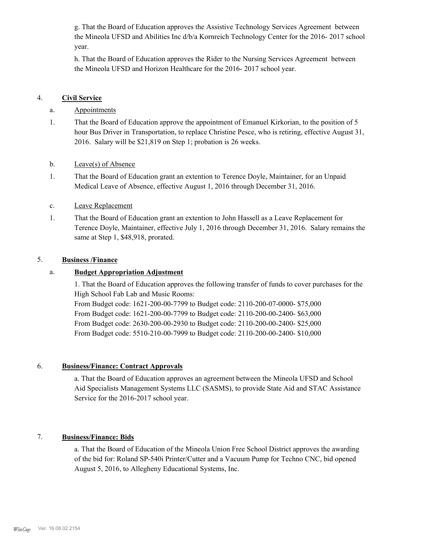g. That the Board of Education approves the Assistive Technology Services Agreement between the Mineola UFSD and Abilities Inc d/b/a Kornreich Technology Center for the 2016- 2017 school year.

h. That the Board of Education approves the Rider to the Nursing Services Agreement between the Mineola UFSD and Horizon Healthcare for the 2016- 2017 school year.

# 4. **Civil Service**

# a. Appointments

- That the Board of Education approve the appointment of Emanuel Kirkorian, to the position of 5 hour Bus Driver in Transportation, to replace Christine Pesce, who is retiring, effective August 31, 2016. Salary will be \$21,819 on Step 1; probation is 26 weeks. 1.
- b. Leave(s) of Absence
- That the Board of Education grant an extention to Terence Doyle, Maintainer, for an Unpaid Medical Leave of Absence, effective August 1, 2016 through December 31, 2016. 1.
- c. Leave Replacement
- That the Board of Education grant an extention to John Hassell as a Leave Replacement for Terence Doyle, Maintainer, effective July 1, 2016 through December 31, 2016. Salary remains the same at Step 1, \$48,918, prorated. 1.

## 5. **Business /Finance**

# a. **Budget Appropriation Adjustment**

1. That the Board of Education approves the following transfer of funds to cover purchases for the High School Fab Lab and Music Rooms:

From Budget code: 1621-200-00-7799 to Budget code: 2110-200-07-0000- \$75,000 From Budget code: 1621-200-00-7799 to Budget code: 2110-200-00-2400- \$63,000 From Budget code: 2630-200-00-2930 to Budget code: 2110-200-00-2400- \$25,000 From Budget code: 5510-210-00-7999 to Budget code: 2110-200-00-2400- \$10,000

## 6. **Business/Finance: Contract Approvals**

a. That the Board of Education approves an agreement between the Mineola UFSD and School Aid Specialists Management Systems LLC (SASMS), to provide State Aid and STAC Assistance Service for the 2016-2017 school year.

# 7. **Business/Finance: Bids**

a. That the Board of Education of the Mineola Union Free School District approves the awarding of the bid for: Roland SP-540i Printer/Cutter and a Vacuum Pump for Techno CNC, bid opened August 5, 2016, to Allegheny Educational Systems, Inc.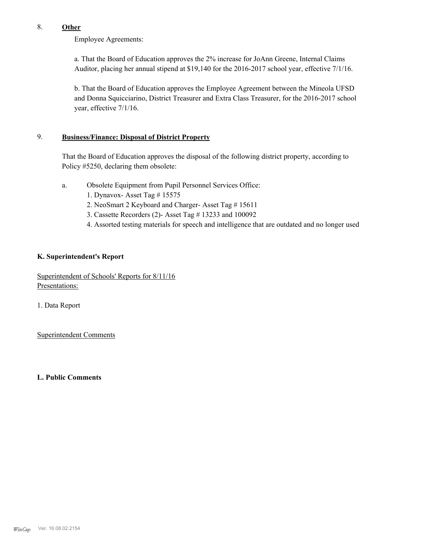# 8. **Other**

Employee Agreements:

a. That the Board of Education approves the 2% increase for JoAnn Greene, Internal Claims Auditor, placing her annual stipend at \$19,140 for the 2016-2017 school year, effective 7/1/16.

b. That the Board of Education approves the Employee Agreement between the Mineola UFSD and Donna Squicciarino, District Treasurer and Extra Class Treasurer, for the 2016-2017 school year, effective 7/1/16.

#### **Business/Finance: Disposal of District Property** 9.

That the Board of Education approves the disposal of the following district property, according to Policy #5250, declaring them obsolete:

- Obsolete Equipment from Pupil Personnel Services Office: a.
	- 1. Dynavox- Asset Tag # 15575
	- 2. NeoSmart 2 Keyboard and Charger- Asset Tag # 15611
	- 3. Cassette Recorders (2)- Asset Tag # 13233 and 100092
	- 4. Assorted testing materials for speech and intelligence that are outdated and no longer used

#### **K. Superintendent's Report**

Superintendent of Schools' Reports for 8/11/16 Presentations:

1. Data Report

Superintendent Comments

**L. Public Comments**